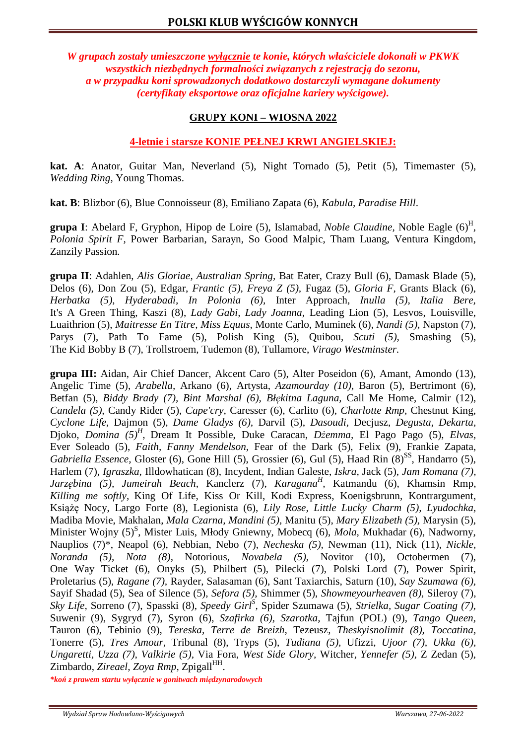*W grupach zostały umieszczone wyłącznie te konie, których właściciele dokonali w PKWK wszystkich niezbędnych formalności związanych z rejestracją do sezonu, a w przypadku koni sprowadzonych dodatkowo dostarczyli wymagane dokumenty (certyfikaty eksportowe oraz oficjalne kariery wyścigowe).* 

# **GRUPY KONI – WIOSNA 2022**

# **4-letnie i starsze KONIE PEŁNEJ KRWI ANGIELSKIEJ:**

**kat. A**: Anator, Guitar Man, Neverland (5), Night Tornado (5)*,* Petit (5), Timemaster (5), *Wedding Ring,* Young Thomas.

**kat. B**: Blizbor (6), Blue Connoisseur (8), Emiliano Zapata (6), *Kabula, Paradise Hill*.

**grupa I**: Abelard F, Gryphon, Hipop de Loire (5), Islamabad, *Noble Claudine,* Noble Eagle (6)<sup>H</sup> , *Polonia Spirit F,* Power Barbarian, Sarayn, So Good Malpic, Tham Luang, Ventura Kingdom, Zanzily Passion*.*

**grupa II**: Adahlen, *Alis Gloriae, Australian Spring,* Bat Eater, Crazy Bull (6), Damask Blade (5), Delos (6), Don Zou (5), Edgar, *Frantic (5), Freya Z (5),* Fugaz (5), *Gloria F,* Grants Black (6), *Herbatka (5), Hyderabadi, In Polonia (6),* Inter Approach, *Inulla (5), Italia Bere,*  It's A Green Thing, Kaszi (8), *Lady Gabi, Lady Joanna,* Leading Lion (5), Lesvos, Louisville, Luaithrion (5), *Maitresse En Titre, Miss Equus,* Monte Carlo, Muminek (6), *Nandi (5),* Napston (7), Parys (7), Path To Fame (5), Polish King (5), Quibou, *Scuti (5),* Smashing (5), The Kid Bobby B (7), Trollstroem, Tudemon (8), Tullamore, *Virago Westminster.*

**grupa III:** Aidan, Air Chief Dancer, Akcent Caro (5), Alter Poseidon (6), Amant, Amondo (13), Angelic Time (5), *Arabella,* Arkano (6), Artysta, *Azamourday (10),* Baron (5), Bertrimont (6), Betfan (5), *Biddy Brady (7), Bint Marshal (6), Błękitna Laguna,* Call Me Home, Calmir (12), *Candela (5),* Candy Rider (5), *Cape'cry,* Caresser (6), Carlito (6), *Charlotte Rmp,* Chestnut King, *Cyclone Life,* Dajmon (5), *Dame Gladys (6),* Darvil (5), *Dasoudi,* Decjusz, *Degusta, Dekarta,*  Djoko, *Domina (5)<sup>H</sup> ,* Dream It Possible, Duke Caracan, *Dżemma,* El Pago Pago (5), *Elvas,*  Ever Soleado (5), *Faith, Fanny Mendelson,* Fear of the Dark (5), Felix (9), Frankie Zapata, *Gabriella Essence, Gloster (6), Gone Hill (5), Grossier (6), Gul (5), Haad Rin (8)*<sup>SS</sup>, Handarro (5), Harlem (7), *Igraszka,* Illdowhatican (8), Incydent, Indian Galeste, *Iskra,* Jack (5), *Jam Romana (7), Jarzębina (5), Jumeirah Beach,* Kanclerz (7), *Karagana<sup>H</sup> ,* Katmandu (6), Khamsin Rmp, *Killing me softly,* King Of Life, Kiss Or Kill, Kodi Express, Koenigsbrunn, Kontrargument, Książę Nocy, Largo Forte (8), Legionista (6), *Lily Rose, Little Lucky Charm (5), Lyudochka,*  Madiba Movie, Makhalan, *Mala Czarna, Mandini (5),* Manitu (5), *Mary Elizabeth (5),* Marysin (5), Minister Wojny (5)<sup>S</sup>, Mister Luis, Młody Gniewny, Mobecq (6), *Mola*, Mukhadar (6), Nadworny, Nauplios (7)\*, Neapol (6), Nebbian, Nebo (7), *Necheska (5),* Newman (11), Nick (11), *Nickle, Noranda (5), Nota (8),* Notorious, *Novabela (5),* Novitor (10), Octobermen (7), One Way Ticket (6), Onyks (5), Philbert (5), Pilecki (7), Polski Lord (7), Power Spirit, Proletarius (5), *Ragane (7),* Rayder, Salasaman (6), Sant Taxiarchis, Saturn (10), *Say Szumawa (6),*  Sayif Shadad (5), Sea of Silence (5), *Sefora (5),* Shimmer (5), *Showmeyourheaven (8),* Sileroy (7), *Sky Life, Sorreno (7), Spasski (8), Speedy Girl<sup>§</sup>, Spider Szumawa (5), <i>Strielka, Sugar Coating (7),* Suwenir (9), Sygryd (7), Syron (6), *Szafirka (6), Szarotka,* Tajfun (POL) (9), *Tango Queen,*  Tauron (6), Tebinio (9), *Tereska, Terre de Breizh,* Tezeusz, *Theskyisnolimit (8), Toccatina,*  Tonerre (5), *Tres Amour,* Tribunal (8), Tryps (5), *Tudiana (5),* Ufizzi, *Ujoor (7), Ukka (6), Ungaretti, Uzza (7), Valkirie (5),* Via Fora, *West Side Glory,* Witcher, *Yennefer (5),* Z Zedan (5), Zimbardo, *Zireael, Zoya Rmp*, Zpigall<sup>HH</sup>.

*\*koń z prawem startu wyłącznie w gonitwach międzynarodowych*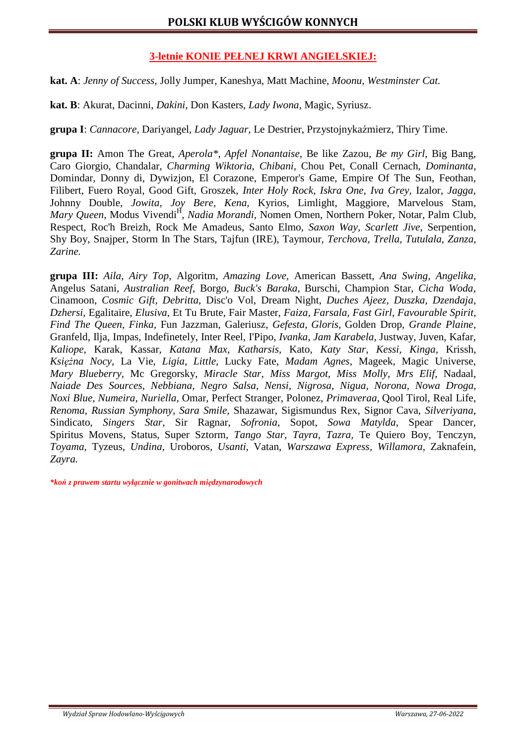# **3-letnie KONIE PEŁNEJ KRWI ANGIELSKIEJ:**

**kat. A**: *Jenny of Success,* Jolly Jumper, Kaneshya, Matt Machine, *Moonu, Westminster Cat.* 

**kat. B**: Akurat, Dacinni, *Dakini,* Don Kasters, *Lady Iwona,* Magic, Syriusz.

**grupa I**: *Cannacore,* Dariyangel, *Lady Jaguar,* Le Destrier, Przystojnykaźmierz, Thiry Time.

**grupa II:** Amon The Great, *Aperola\*, Apfel Nonantaise,* Be like Zazou, *Be my Girl,* Big Bang, Caro Giorgio, Chandalar, *Charming Wiktoria, Chibani,* Chou Pet, Conall Cernach, *Dominanta,*  Domindar, Donny di, Dywizjon, El Corazone, Emperor's Game, Empire Of The Sun, Feothan, Filibert, Fuero Royal, Good Gift, Groszek, *Inter Holy Rock, Iskra One, Iva Grey,* Izalor, *Jagga,*  Johnny Double, *Jowita, Joy Bere, Kena,* Kyrios, Limlight, Maggiore, Marvelous Stam, *Mary Queen, Modus Vivendi<sup>H</sup>, Nadia Morandi, Nomen Omen, Northern Poker, Notar, Palm Club,* Respect, Roc'h Breizh, Rock Me Amadeus, Santo Elmo, *Saxon Way, Scarlett Jive,* Serpention, Shy Boy, Snajper, Storm In The Stars, Tajfun (IRE), Taymour, *Terchova, Trella, Tutulala, Zanza, Zarine.* 

**grupa III:** *Aila, Airy Top,* Algoritm, *Amazing Love,* American Bassett, *Ana Swing, Angelika,*  Angelus Satani, *Australian Reef,* Borgo, *Buck's Baraka,* Burschi, Champion Star, *Cicha Woda,*  Cinamoon, *Cosmic Gift, Debritta,* Disc'o Vol, Dream Night, *Duches Ajeez, Duszka, Dzendaja, Dzhersi,* Egalitaire, *Elusiva,* Et Tu Brute, Fair Master, *Faiza, Farsala, Fast Girl, Favourable Spirit, Find The Queen, Finka,* Fun Jazzman, Galeriusz, *Gefesta, Gloris,* Golden Drop, *Grande Plaine,*  Granfeld, Ilja, Impas, Indefinetely, Inter Reel, I'Pipo, *Ivanka, Jam Karabela,* Justway, Juven, Kafar, *Kaliope,* Karak, Kassar, *Katana Max, Katharsis,* Kato, *Katy Star, Kessi, Kinga,* Krissh, *Księżna Nocy,* La Vie, *Ligia, Little,* Lucky Fate, *Madam Agnes,* Mageek, Magic Universe, *Mary Blueberry,* Mc Gregorsky, *Miracle Star, Miss Margot, Miss Molly, Mrs Elif,* Nadaal, *Naiade Des Sources, Nebbiana, Negro Salsa, Nensi, Nigrosa, Nigua, Norona, Nowa Droga, Noxi Blue, Numeira, Nuriella,* Omar, Perfect Stranger, Polonez, *Primaveraa,* Qool Tirol, Real Life, *Renoma, Russian Symphony, Sara Smile,* Shazawar, Sigismundus Rex, Signor Cava, *Silveriyana,*  Sindicato, *Singers Star,* Sir Ragnar, *Sofronia,* Sopot, *Sowa Matylda,* Spear Dancer, Spiritus Movens, Status, Super Sztorm, *Tango Star, Tayra, Tazra,* Te Quiero Boy, Tenczyn, *Toyama,* Tyzeus, *Undina,* Uroboros, *Usanti,* Vatan, *Warszawa Express, Willamora,* Zaknafein, *Zayra.*

*\*koń z prawem startu wyłącznie w gonitwach międzynarodowych*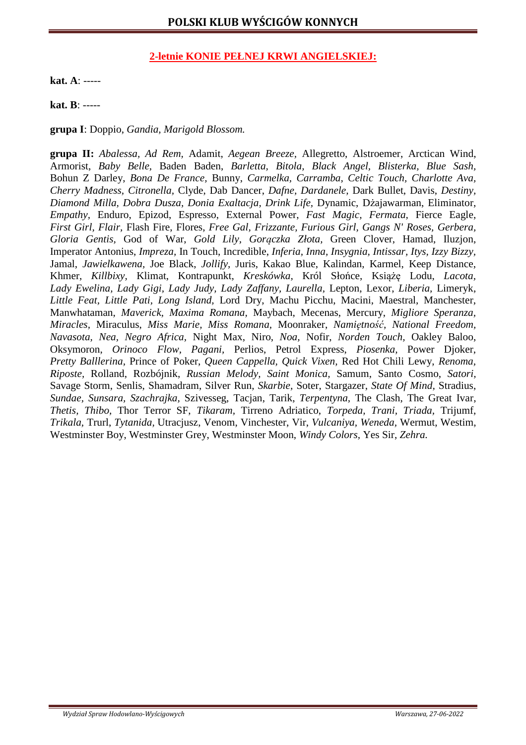# **2-letnie KONIE PEŁNEJ KRWI ANGIELSKIEJ:**

**kat. A**: -----

**kat. B**: -----

**grupa I**: Doppio, *Gandia, Marigold Blossom.*

**grupa II:** *Abalessa, Ad Rem,* Adamit, *Aegean Breeze,* Allegretto, Alstroemer, Arctican Wind, Armorist, *Baby Belle,* Baden Baden, *Barletta, Bitola, Black Angel, Blisterka, Blue Sash,*  Bohun Z Darley, *Bona De France,* Bunny, *Carmelka, Carramba, Celtic Touch, Charlotte Ava, Cherry Madness, Citronella,* Clyde, Dab Dancer, *Dafne, Dardanele,* Dark Bullet, Davis, *Destiny, Diamond Milla, Dobra Dusza, Donia Exaltacja, Drink Life,* Dynamic, Dżajawarman, Eliminator, *Empathy,* Enduro, Epizod, Espresso, External Power, *Fast Magic, Fermata,* Fierce Eagle, *First Girl, Flair,* Flash Fire, Flores, *Free Gal, Frizzante, Furious Girl, Gangs N' Roses, Gerbera, Gloria Gentis,* God of War, *Gold Lily, Gorączka Złota,* Green Clover, Hamad, Iluzjon, Imperator Antonius, *Impreza,* In Touch, Incredible, *Inferia, Inna, Insygnia, Intissar, Itys, Izzy Bizzy,* Jamal, *Jawielkawena,* Joe Black, *Jollify,* Juris, Kakao Blue, Kalindan, Karmel, Keep Distance, Khmer, *Killbixy,* Klimat, Kontrapunkt, *Kreskówka,* Król Słońce, Książę Lodu, *Lacota, Lady Ewelina, Lady Gigi, Lady Judy, Lady Zaffany, Laurella,* Lepton, Lexor, *Liberia,* Limeryk, *Little Feat, Little Pati, Long Island,* Lord Dry, Machu Picchu, Macini, Maestral, Manchester, Manwhataman, *Maverick, Maxima Romana,* Maybach, Mecenas, Mercury, *Migliore Speranza, Miracles,* Miraculus, *Miss Marie, Miss Romana,* Moonraker, *Namiętność, National Freedom, Navasota, Nea, Negro Africa,* Night Max, Niro, *Noa,* Nofir, *Norden Touch,* Oakley Baloo, Oksymoron, *Orinoco Flow, Pagani,* Perlios, Petrol Express, *Piosenka,* Power Djoker, *Pretty Balllerina,* Prince of Poker, *Queen Cappella, Quick Vixen,* Red Hot Chili Lewy, *Renoma, Riposte,* Rolland, Rozbójnik, *Russian Melody, Saint Monica,* Samum, Santo Cosmo, *Satori,*  Savage Storm, Senlis, Shamadram, Silver Run, *Skarbie,* Soter, Stargazer, *State Of Mind,* Stradius, *Sundae, Sunsara, Szachrajka,* Szivesseg, Tacjan, Tarik, *Terpentyna,* The Clash, The Great Ivar, *Thetis, Thibo,* Thor Terror SF, *Tikaram,* Tirreno Adriatico, *Torpeda, Trani, Triada,* Trijumf, *Trikala,* Trurl, *Tytanida,* Utracjusz, Venom, Vinchester, Vir, *Vulcaniya, Weneda,* Wermut, Westim, Westminster Boy, Westminster Grey, Westminster Moon, *Windy Colors,* Yes Sir, *Zehra.*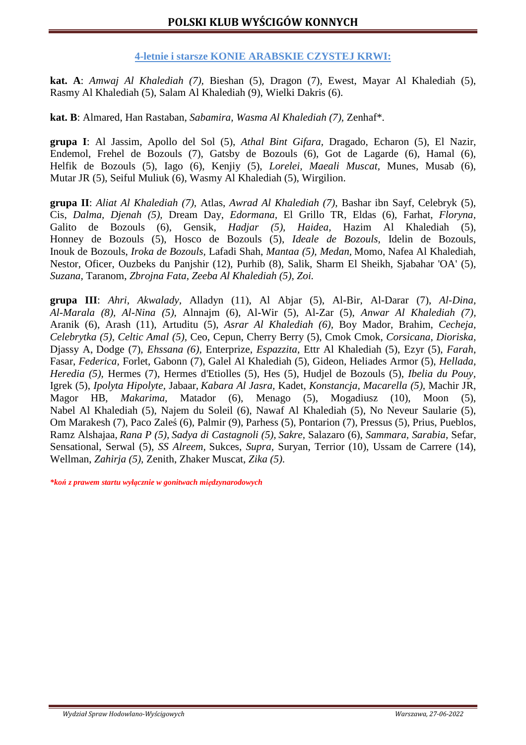### **4-letnie i starsze KONIE ARABSKIE CZYSTEJ KRWI:**

**kat. A**: *Amwaj Al Khalediah (7),* Bieshan (5), Dragon (7), Ewest, Mayar Al Khalediah (5), Rasmy Al Khalediah (5), Salam Al Khalediah (9), Wielki Dakris (6).

**kat. B**: Almared, Han Rastaban, *Sabamira, Wasma Al Khalediah (7),* Zenhaf\**.*

**grupa I**: Al Jassim, Apollo del Sol (5), *Athal Bint Gifara,* Dragado, Echaron (5), El Nazir, Endemol, Frehel de Bozouls (7), Gatsby de Bozouls (6), Got de Lagarde (6), Hamal (6), Helfik de Bozouls (5), Iago (6), Kenjiy (5), *Lorelei, Maeali Muscat,* Munes, Musab (6), Mutar JR (5), Seiful Muliuk (6), Wasmy Al Khalediah (5), Wirgilion.

**grupa II**: *Aliat Al Khalediah (7),* Atlas, *Awrad Al Khalediah (7),* Bashar ibn Sayf, Celebryk (5), Cis, *Dalma, Djenah (5),* Dream Day, *Edormana,* El Grillo TR, Eldas (6), Farhat, *Floryna,*  Galito de Bozouls (6), Gensik, *Hadjar (5), Haidea,* Hazim Al Khalediah (5), Honney de Bozouls (5), Hosco de Bozouls (5), *Ideale de Bozouls,* Idelin de Bozouls, Inouk de Bozouls, *Iroka de Bozouls,* Lafadi Shah, *Mantaa (5), Medan,* Momo, Nafea Al Khalediah, Nestor, Oficer, Ouzbeks du Panjshir (12), Purhib (8), Salik, Sharm El Sheikh, Sjabahar 'OA' (5), *Suzana,* Taranom, *Zbrojna Fata, Zeeba Al Khalediah (5), Zoi.* 

**grupa III**: *Ahri, Akwalady,* Alladyn (11), Al Abjar (5), Al-Bir, Al-Darar (7), *Al-Dina, Al-Marala (8), Al-Nina (5),* Alnnajm (6), Al-Wir (5), Al-Zar (5), *Anwar Al Khalediah (7),*  Aranik (6), Arash (11), Artuditu (5), *Asrar Al Khalediah (6),* Boy Mador, Brahim, *Cecheja, Celebrytka (5), Celtic Amal (5),* Ceo, Cepun, Cherry Berry (5), Cmok Cmok, *Corsicana, Dioriska,*  Djassy A, Dodge (7), *Ehssana (6),* Enterprize, *Espazzita,* Ettr Al Khalediah (5), Ezyr (5), *Farah*, Fasar, *Federica,* Forlet, Gabonn (7), Galel Al Khalediah (5), Gideon, Heliades Armor (5), *Hellada, Heredia (5),* Hermes (7), Hermes d'Etiolles (5), Hes (5), Hudjel de Bozouls (5), *Ibelia du Pouy,*  Igrek (5), *Ipolyta Hipolyte,* Jabaar, *Kabara Al Jasra,* Kadet, *Konstancja, Macarella (5),* Machir JR, Magor HB, *Makarima,* Matador (6), Menago (5), Mogadiusz (10), Moon (5), Nabel Al Khalediah (5), Najem du Soleil (6), Nawaf Al Khalediah (5), No Neveur Saularie (5), Om Marakesh (7), Paco Zaleś (6), Palmir (9), Parhess (5), Pontarion (7), Pressus (5), Prius, Pueblos, Ramz Alshajaa, *Rana P (5), Sadya di Castagnoli (5), Sakre,* Salazaro (6), *Sammara, Sarabia,* Sefar, Sensational, Serwal (5), *SS Alreem,* Sukces, *Supra,* Suryan, Terrior (10), Ussam de Carrere (14), Wellman, *Zahirja (5),* Zenith, Zhaker Muscat, *Zika (5).* 

*\*koń z prawem startu wyłącznie w gonitwach międzynarodowych*